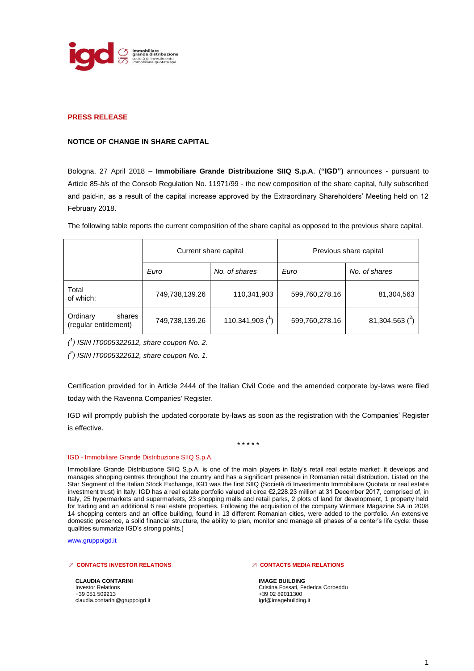

# **PRESS RELEASE**

## **NOTICE OF CHANGE IN SHARE CAPITAL**

Bologna, 27 April 2018 – **Immobiliare Grande Distribuzione SIIQ S.p.A**. (**"IGD")** announces - pursuant to Article 85-*bis* of the Consob Regulation No. 11971/99 - the new composition of the share capital, fully subscribed and paid-in, as a result of the capital increase approved by the Extraordinary Shareholders' Meeting held on 12 February 2018.

The following table reports the current composition of the share capital as opposed to the previous share capital.

|                                             | Current share capital |                      | Previous share capital |                   |
|---------------------------------------------|-----------------------|----------------------|------------------------|-------------------|
|                                             | Euro                  | No. of shares        | Euro                   | No. of shares     |
| Total<br>of which:                          | 749,738,139.26        | 110,341,903          | 599,760,278.16         | 81,304,563        |
| Ordinary<br>shares<br>(regular entitlement) | 749,738,139.26        | 110,341,903 $(^{1})$ | 599,760,278.16         | 81,304,563 $(^2)$ |

*( 1 ) ISIN IT0005322612, share coupon No. 2.*

*( 2 ) ISIN IT0005322612, share coupon No. 1.*

Certification provided for in Article 2444 of the Italian Civil Code and the amended corporate by-laws were filed today with the Ravenna Companies' Register.

IGD will promptly publish the updated corporate by-laws as soon as the registration with the Companies' Register is effective.

\* \* \* \* \*

#### IGD - Immobiliare Grande Distribuzione SIIQ S.p.A.

Immobiliare Grande Distribuzione SIIQ S.p.A. is one of the main players in Italy's retail real estate market: it develops and manages shopping centres throughout the country and has a significant presence in Romanian retail distribution. Listed on the Star Segment of the Italian Stock Exchange, IGD was the first SIIQ (Società di Investimento Immobiliare Quotata or real estate investment trust) in Italy. IGD has a real estate portfolio valued at circa €2,228.23 million at 31 December 2017, comprised of, in Italy, 25 hypermarkets and supermarkets, 23 shopping malls and retail parks, 2 plots of land for development, 1 property held for trading and an additional 6 real estate properties. Following the acquisition of the company Winmark Magazine SA in 2008 14 shopping centers and an office building, found in 13 different Romanian cities, were added to the portfolio. An extensive domestic presence, a solid financial structure, the ability to plan, monitor and manage all phases of a center's life cycle: these qualities summarize IGD's strong points.]

www.gruppoigd.it

### **CONTACTS INVESTOR RELATIONS**

**CLAUDIA CONTARINI** Investor Relations +39 051 509213 claudia.contarini@gruppoigd.it

#### **CONTACTS MEDIA RELATIONS**

**IMAGE BUILDING** Cristina Fossati, Federica Corbeddu +39 02 89011300 igd@imagebuilding.it